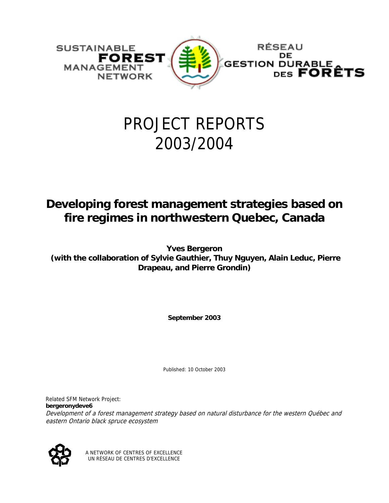

## PROJECT REPORTS 2003/2004

## **Developing forest management strategies based on fire regimes in northwestern Quebec, Canada**

**Yves Bergeron** 

 **(with the collaboration of Sylvie Gauthier, Thuy Nguyen, Alain Leduc, Pierre Drapeau, and Pierre Grondin)** 

**September 2003** 

Published: 10 October 2003

Related SFM Network Project: **bergeronydeve6** Development of a forest management strategy based on natural disturbance for the western Québec and eastern Ontario black spruce ecosystem



A NETWORK OF CENTRES OF EXCELLENCE UN RÉSEAU DE CENTRES D'EXCELLENCE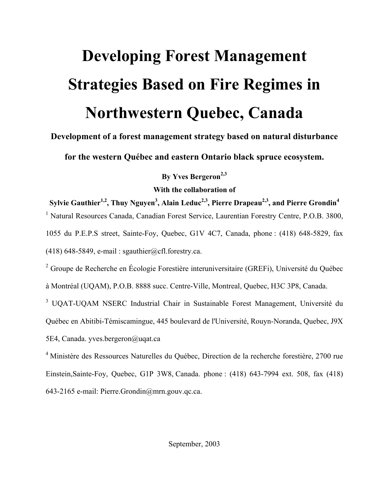# **Developing Forest Management Strategies Based on Fire Regimes in Northwestern Quebec, Canada**

#### **Development of a forest management strategy based on natural disturbance**

**for the western Québec and eastern Ontario black spruce ecosystem.** 

By Yves Bergeron<sup>2,3</sup>

**With the collaboration of** 

## Sylvie Gauthier<sup>1,2</sup>, Thuy Nguyen<sup>3</sup>, Alain Leduc<sup>2,3</sup>, Pierre Drapeau<sup>2,3</sup>, and Pierre Grondin<sup>4</sup> <sup>1</sup> Natural Resources Canada, Canadian Forest Service, Laurentian Forestry Centre, P.O.B. 3800, 1055 du P.E.P.S street, Sainte-Foy, Quebec, G1V 4C7, Canada, phone : (418) 648-5829, fax

(418) 648-5849, e-mail : sgauthier@cfl.forestry.ca.

<sup>2</sup> Groupe de Recherche en Écologie Forestière interuniversitaire (GREFi), Université du Québec

à Montréal (UQAM), P.O.B. 8888 succ. Centre-Ville, Montreal, Quebec, H3C 3P8, Canada.

<sup>3</sup> UQAT-UQAM NSERC Industrial Chair in Sustainable Forest Management, Université du Québec en Abitibi-Témiscamingue, 445 boulevard de l'Université, Rouyn-Noranda, Quebec, J9X 5E4, Canada. yves.bergeron@uqat.ca

4 Ministère des Ressources Naturelles du Québec, Direction de la recherche forestière, 2700 rue Einstein,Sainte-Foy, Quebec, G1P 3W8, Canada. phone : (418) 643-7994 ext. 508, fax (418) 643-2165 e-mail: Pierre.Grondin@mrn.gouv.qc.ca.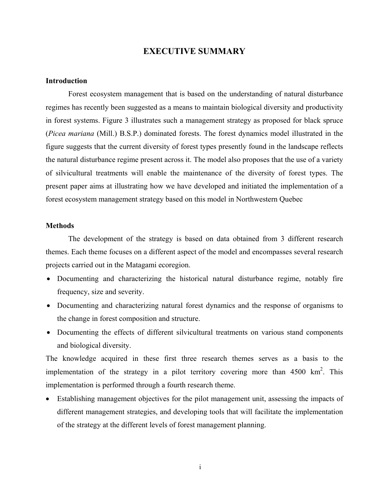#### **EXECUTIVE SUMMARY**

#### **Introduction**

Forest ecosystem management that is based on the understanding of natural disturbance regimes has recently been suggested as a means to maintain biological diversity and productivity in forest systems. Figure 3 illustrates such a management strategy as proposed for black spruce (*Picea mariana* (Mill.) B.S.P.) dominated forests. The forest dynamics model illustrated in the figure suggests that the current diversity of forest types presently found in the landscape reflects the natural disturbance regime present across it. The model also proposes that the use of a variety of silvicultural treatments will enable the maintenance of the diversity of forest types. The present paper aims at illustrating how we have developed and initiated the implementation of a forest ecosystem management strategy based on this model in Northwestern Quebec

#### **Methods**

The development of the strategy is based on data obtained from 3 different research themes. Each theme focuses on a different aspect of the model and encompasses several research projects carried out in the Matagami ecoregion.

- Documenting and characterizing the historical natural disturbance regime, notably fire frequency, size and severity.
- Documenting and characterizing natural forest dynamics and the response of organisms to the change in forest composition and structure.
- Documenting the effects of different silvicultural treatments on various stand components and biological diversity.

The knowledge acquired in these first three research themes serves as a basis to the implementation of the strategy in a pilot territory covering more than  $4500 \text{ km}^2$ . This implementation is performed through a fourth research theme.

• Establishing management objectives for the pilot management unit, assessing the impacts of different management strategies, and developing tools that will facilitate the implementation of the strategy at the different levels of forest management planning.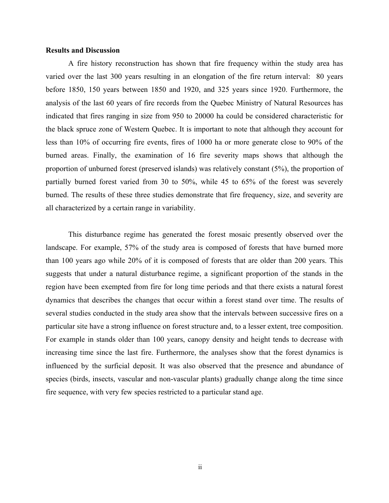#### **Results and Discussion**

A fire history reconstruction has shown that fire frequency within the study area has varied over the last 300 years resulting in an elongation of the fire return interval: 80 years before 1850, 150 years between 1850 and 1920, and 325 years since 1920. Furthermore, the analysis of the last 60 years of fire records from the Quebec Ministry of Natural Resources has indicated that fires ranging in size from 950 to 20000 ha could be considered characteristic for the black spruce zone of Western Quebec. It is important to note that although they account for less than 10% of occurring fire events, fires of 1000 ha or more generate close to 90% of the burned areas. Finally, the examination of 16 fire severity maps shows that although the proportion of unburned forest (preserved islands) was relatively constant (5%), the proportion of partially burned forest varied from 30 to 50%, while 45 to 65% of the forest was severely burned. The results of these three studies demonstrate that fire frequency, size, and severity are all characterized by a certain range in variability.

This disturbance regime has generated the forest mosaic presently observed over the landscape. For example, 57% of the study area is composed of forests that have burned more than 100 years ago while 20% of it is composed of forests that are older than 200 years. This suggests that under a natural disturbance regime, a significant proportion of the stands in the region have been exempted from fire for long time periods and that there exists a natural forest dynamics that describes the changes that occur within a forest stand over time. The results of several studies conducted in the study area show that the intervals between successive fires on a particular site have a strong influence on forest structure and, to a lesser extent, tree composition. For example in stands older than 100 years, canopy density and height tends to decrease with increasing time since the last fire. Furthermore, the analyses show that the forest dynamics is influenced by the surficial deposit. It was also observed that the presence and abundance of species (birds, insects, vascular and non-vascular plants) gradually change along the time since fire sequence, with very few species restricted to a particular stand age.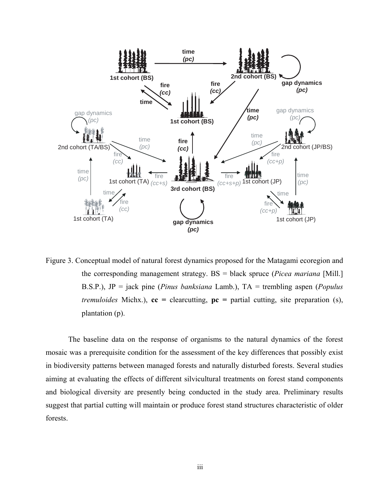

Figure 3. Conceptual model of natural forest dynamics proposed for the Matagami ecoregion and the corresponding management strategy. BS = black spruce (*Picea mariana* [Mill.] B.S.P.), JP = jack pine (*Pinus banksiana* Lamb.), TA = trembling aspen (*Populus tremuloides* Michx.), **cc =** clearcutting, **pc =** partial cutting, site preparation (s), plantation (p).

The baseline data on the response of organisms to the natural dynamics of the forest mosaic was a prerequisite condition for the assessment of the key differences that possibly exist in biodiversity patterns between managed forests and naturally disturbed forests. Several studies aiming at evaluating the effects of different silvicultural treatments on forest stand components and biological diversity are presently being conducted in the study area. Preliminary results suggest that partial cutting will maintain or produce forest stand structures characteristic of older forests.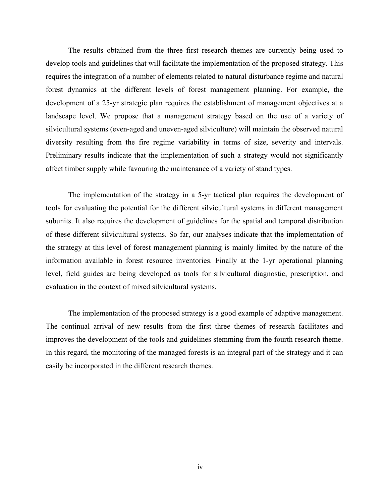The results obtained from the three first research themes are currently being used to develop tools and guidelines that will facilitate the implementation of the proposed strategy. This requires the integration of a number of elements related to natural disturbance regime and natural forest dynamics at the different levels of forest management planning. For example, the development of a 25-yr strategic plan requires the establishment of management objectives at a landscape level. We propose that a management strategy based on the use of a variety of silvicultural systems (even-aged and uneven-aged silviculture) will maintain the observed natural diversity resulting from the fire regime variability in terms of size, severity and intervals. Preliminary results indicate that the implementation of such a strategy would not significantly affect timber supply while favouring the maintenance of a variety of stand types.

The implementation of the strategy in a 5-yr tactical plan requires the development of tools for evaluating the potential for the different silvicultural systems in different management subunits. It also requires the development of guidelines for the spatial and temporal distribution of these different silvicultural systems. So far, our analyses indicate that the implementation of the strategy at this level of forest management planning is mainly limited by the nature of the information available in forest resource inventories. Finally at the 1-yr operational planning level, field guides are being developed as tools for silvicultural diagnostic, prescription, and evaluation in the context of mixed silvicultural systems.

The implementation of the proposed strategy is a good example of adaptive management. The continual arrival of new results from the first three themes of research facilitates and improves the development of the tools and guidelines stemming from the fourth research theme. In this regard, the monitoring of the managed forests is an integral part of the strategy and it can easily be incorporated in the different research themes.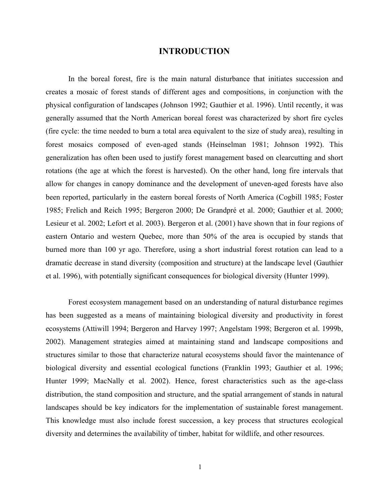#### **INTRODUCTION**

In the boreal forest, fire is the main natural disturbance that initiates succession and creates a mosaic of forest stands of different ages and compositions, in conjunction with the physical configuration of landscapes (Johnson 1992; Gauthier et al. 1996). Until recently, it was generally assumed that the North American boreal forest was characterized by short fire cycles (fire cycle: the time needed to burn a total area equivalent to the size of study area), resulting in forest mosaics composed of even-aged stands (Heinselman 1981; Johnson 1992). This generalization has often been used to justify forest management based on clearcutting and short rotations (the age at which the forest is harvested). On the other hand, long fire intervals that allow for changes in canopy dominance and the development of uneven-aged forests have also been reported, particularly in the eastern boreal forests of North America (Cogbill 1985; Foster 1985; Frelich and Reich 1995; Bergeron 2000; De Grandpré et al. 2000; Gauthier et al. 2000; Lesieur et al. 2002; Lefort et al. 2003). Bergeron et al. (2001) have shown that in four regions of eastern Ontario and western Quebec, more than 50% of the area is occupied by stands that burned more than 100 yr ago. Therefore, using a short industrial forest rotation can lead to a dramatic decrease in stand diversity (composition and structure) at the landscape level (Gauthier et al. 1996), with potentially significant consequences for biological diversity (Hunter 1999).

Forest ecosystem management based on an understanding of natural disturbance regimes has been suggested as a means of maintaining biological diversity and productivity in forest ecosystems (Attiwill 1994; Bergeron and Harvey 1997; Angelstam 1998; Bergeron et al. 1999b, 2002). Management strategies aimed at maintaining stand and landscape compositions and structures similar to those that characterize natural ecosystems should favor the maintenance of biological diversity and essential ecological functions (Franklin 1993; Gauthier et al. 1996; Hunter 1999; MacNally et al. 2002). Hence, forest characteristics such as the age-class distribution, the stand composition and structure, and the spatial arrangement of stands in natural landscapes should be key indicators for the implementation of sustainable forest management. This knowledge must also include forest succession, a key process that structures ecological diversity and determines the availability of timber, habitat for wildlife, and other resources.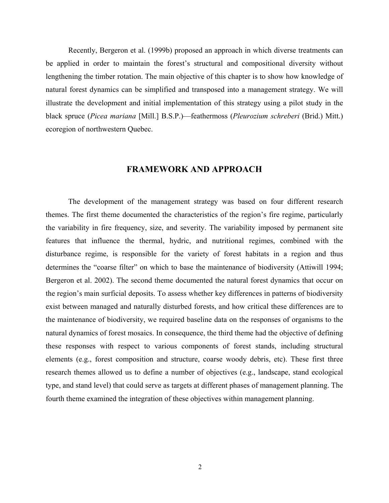Recently, Bergeron et al. (1999b) proposed an approach in which diverse treatments can be applied in order to maintain the forest's structural and compositional diversity without lengthening the timber rotation. The main objective of this chapter is to show how knowledge of natural forest dynamics can be simplified and transposed into a management strategy. We will illustrate the development and initial implementation of this strategy using a pilot study in the black spruce (*Picea mariana* [Mill.] B.S.P.)—feathermoss (*Pleurozium schreberi* (Brid.) Mitt.) ecoregion of northwestern Quebec.

#### **FRAMEWORK AND APPROACH**

The development of the management strategy was based on four different research themes. The first theme documented the characteristics of the region's fire regime, particularly the variability in fire frequency, size, and severity. The variability imposed by permanent site features that influence the thermal, hydric, and nutritional regimes, combined with the disturbance regime, is responsible for the variety of forest habitats in a region and thus determines the "coarse filter" on which to base the maintenance of biodiversity (Attiwill 1994; Bergeron et al. 2002). The second theme documented the natural forest dynamics that occur on the region's main surficial deposits. To assess whether key differences in patterns of biodiversity exist between managed and naturally disturbed forests, and how critical these differences are to the maintenance of biodiversity, we required baseline data on the responses of organisms to the natural dynamics of forest mosaics. In consequence, the third theme had the objective of defining these responses with respect to various components of forest stands, including structural elements (e.g., forest composition and structure, coarse woody debris, etc). These first three research themes allowed us to define a number of objectives (e.g., landscape, stand ecological type, and stand level) that could serve as targets at different phases of management planning. The fourth theme examined the integration of these objectives within management planning.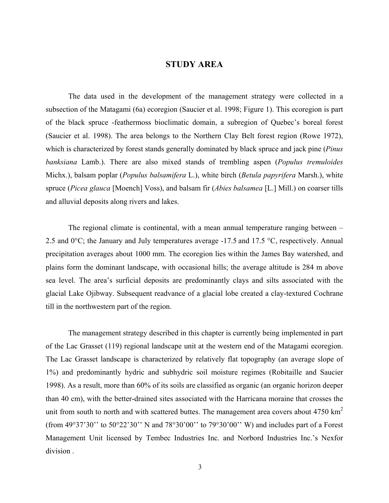#### **STUDY AREA**

The data used in the development of the management strategy were collected in a subsection of the Matagami (6a) ecoregion (Saucier et al. 1998; Figure 1). This ecoregion is part of the black spruce -feathermoss bioclimatic domain, a subregion of Quebec's boreal forest (Saucier et al. 1998). The area belongs to the Northern Clay Belt forest region (Rowe 1972), which is characterized by forest stands generally dominated by black spruce and jack pine (*Pinus banksiana* Lamb.). There are also mixed stands of trembling aspen (*Populus tremuloides* Michx.), balsam poplar (*Populus balsamifera* L.), white birch (*Betula papyrifera* Marsh.), white spruce (*Picea glauca* [Moench] Voss), and balsam fir (*Abies balsamea* [L.] Mill.) on coarser tills and alluvial deposits along rivers and lakes.

The regional climate is continental, with a mean annual temperature ranging between – 2.5 and  $0^{\circ}$ C; the January and July temperatures average -17.5 and 17.5  $^{\circ}$ C, respectively. Annual precipitation averages about 1000 mm. The ecoregion lies within the James Bay watershed, and plains form the dominant landscape, with occasional hills; the average altitude is 284 m above sea level. The area's surficial deposits are predominantly clays and silts associated with the glacial Lake Ojibway. Subsequent readvance of a glacial lobe created a clay-textured Cochrane till in the northwestern part of the region.

The management strategy described in this chapter is currently being implemented in part of the Lac Grasset (119) regional landscape unit at the western end of the Matagami ecoregion. The Lac Grasset landscape is characterized by relatively flat topography (an average slope of 1%) and predominantly hydric and subhydric soil moisture regimes (Robitaille and Saucier 1998). As a result, more than 60% of its soils are classified as organic (an organic horizon deeper than 40 cm), with the better-drained sites associated with the Harricana moraine that crosses the unit from south to north and with scattered buttes. The management area covers about 4750 km<sup>2</sup> (from 49°37'30'' to 50°22'30'' N and 78°30'00'' to 79°30'00'' W) and includes part of a Forest Management Unit licensed by Tembec Industries Inc. and Norbord Industries Inc.'s Nexfor division .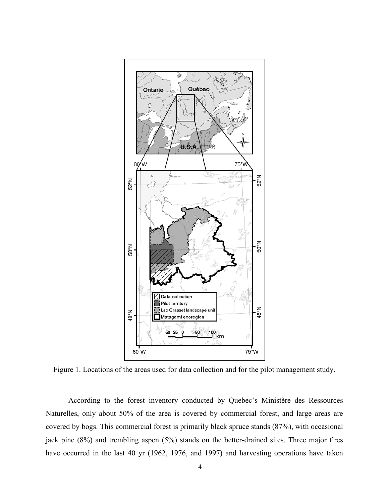

Figure 1. Locations of the areas used for data collection and for the pilot management study.

According to the forest inventory conducted by Quebec's Ministère des Ressources Naturelles, only about 50% of the area is covered by commercial forest, and large areas are covered by bogs. This commercial forest is primarily black spruce stands (87%), with occasional jack pine (8%) and trembling aspen (5%) stands on the better-drained sites. Three major fires have occurred in the last 40 yr (1962, 1976, and 1997) and harvesting operations have taken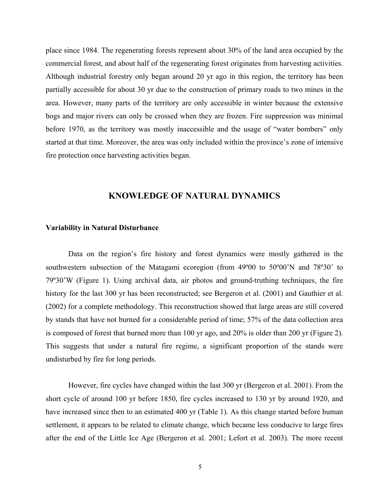place since 1984. The regenerating forests represent about 30% of the land area occupied by the commercial forest, and about half of the regenerating forest originates from harvesting activities. Although industrial forestry only began around 20 yr ago in this region, the territory has been partially accessible for about 30 yr due to the construction of primary roads to two mines in the area. However, many parts of the territory are only accessible in winter because the extensive bogs and major rivers can only be crossed when they are frozen. Fire suppression was minimal before 1970, as the territory was mostly inaccessible and the usage of "water bombers" only started at that time. Moreover, the area was only included within the province's zone of intensive fire protection once harvesting activities began.

#### **KNOWLEDGE OF NATURAL DYNAMICS**

#### **Variability in Natural Disturbance**

Data on the region's fire history and forest dynamics were mostly gathered in the southwestern subsection of the Matagami ecoregion (from 49°00 to 50°00'N and 78°30' to 79º30'W (Figure 1). Using archival data, air photos and ground-truthing techniques, the fire history for the last 300 yr has been reconstructed; see Bergeron et al. (2001) and Gauthier et al. (2002) for a complete methodology. This reconstruction showed that large areas are still covered by stands that have not burned for a considerable period of time; 57% of the data collection area is composed of forest that burned more than 100 yr ago, and 20% is older than 200 yr (Figure 2). This suggests that under a natural fire regime, a significant proportion of the stands were undisturbed by fire for long periods.

However, fire cycles have changed within the last 300 yr (Bergeron et al. 2001). From the short cycle of around 100 yr before 1850, fire cycles increased to 130 yr by around 1920, and have increased since then to an estimated 400 yr (Table 1). As this change started before human settlement, it appears to be related to climate change, which became less conducive to large fires after the end of the Little Ice Age (Bergeron et al. 2001; Lefort et al. 2003). The more recent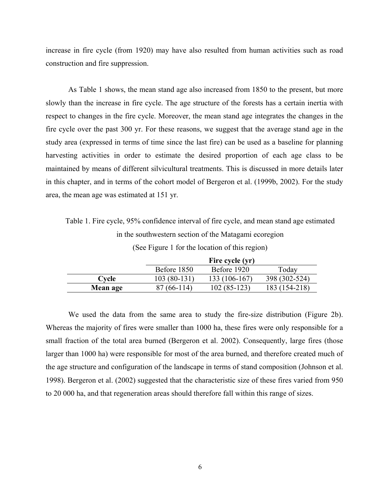increase in fire cycle (from 1920) may have also resulted from human activities such as road construction and fire suppression.

As Table 1 shows, the mean stand age also increased from 1850 to the present, but more slowly than the increase in fire cycle. The age structure of the forests has a certain inertia with respect to changes in the fire cycle. Moreover, the mean stand age integrates the changes in the fire cycle over the past 300 yr. For these reasons, we suggest that the average stand age in the study area (expressed in terms of time since the last fire) can be used as a baseline for planning harvesting activities in order to estimate the desired proportion of each age class to be maintained by means of different silvicultural treatments. This is discussed in more details later in this chapter, and in terms of the cohort model of Bergeron et al. (1999b, 2002). For the study area, the mean age was estimated at 151 yr.

Table 1. Fire cycle, 95% confidence interval of fire cycle, and mean stand age estimated in the southwestern section of the Matagami ecoregion

|          |              | Fire cycle (yr) |               |
|----------|--------------|-----------------|---------------|
|          | Before 1850  | Before 1920     | Today         |
| Cycle    | 103 (80-131) | 133 (106-167)   | 398 (302-524) |
| Mean age | 87 (66-114)  | $102(85-123)$   | 183 (154-218) |

(See Figure 1 for the location of this region)

We used the data from the same area to study the fire-size distribution (Figure 2b). Whereas the majority of fires were smaller than 1000 ha, these fires were only responsible for a small fraction of the total area burned (Bergeron et al. 2002). Consequently, large fires (those larger than 1000 ha) were responsible for most of the area burned, and therefore created much of the age structure and configuration of the landscape in terms of stand composition (Johnson et al. 1998). Bergeron et al. (2002) suggested that the characteristic size of these fires varied from 950 to 20 000 ha, and that regeneration areas should therefore fall within this range of sizes.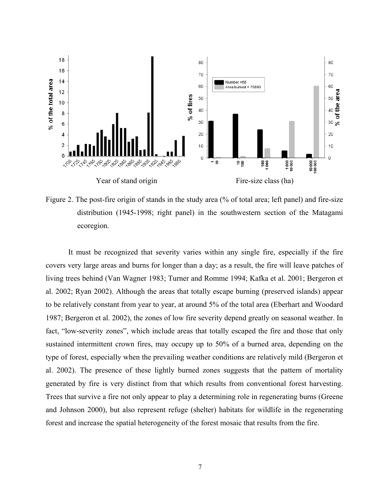

Figure 2. The post-fire origin of stands in the study area (% of total area; left panel) and fire-size distribution (1945-1998; right panel) in the southwestern section of the Matagami ecoregion.

It must be recognized that severity varies within any single fire, especially if the fire covers very large areas and burns for longer than a day; as a result, the fire will leave patches of living trees behind (Van Wagner 1983; Turner and Romme 1994; Kafka et al. 2001; Bergeron et al. 2002; Ryan 2002). Although the areas that totally escape burning (preserved islands) appear to be relatively constant from year to year, at around 5% of the total area (Eberhart and Woodard 1987; Bergeron et al. 2002), the zones of low fire severity depend greatly on seasonal weather. In fact, "low-severity zones", which include areas that totally escaped the fire and those that only sustained intermittent crown fires, may occupy up to 50% of a burned area, depending on the type of forest, especially when the prevailing weather conditions are relatively mild (Bergeron et al. 2002). The presence of these lightly burned zones suggests that the pattern of mortality generated by fire is very distinct from that which results from conventional forest harvesting. Trees that survive a fire not only appear to play a determining role in regenerating burns (Greene and Johnson 2000), but also represent refuge (shelter) habitats for wildlife in the regenerating forest and increase the spatial heterogeneity of the forest mosaic that results from the fire.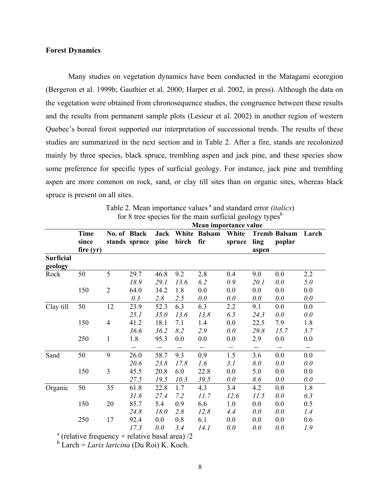#### **Forest Dynamics**

Many studies on vegetation dynamics have been conducted in the Matagami ecoregion (Bergeron et al. 1999b; Gauthier et al. 2000; Harper et al. 2002, in press). Although the data on the vegetation were obtained from chronosequence studies, the congruence between these results and the results from permanent sample plots (Lesieur et al. 2002) in another region of western Quebec's boreal forest supported our interpretation of successional trends. The results of these studies are summarized in the next section and in Table 2. After a fire, stands are recolonized mainly by three species, black spruce, trembling aspen and jack pine, and these species show some preference for specific types of surficial geology. For instance, jack pine and trembling aspen are more common on rock, sand, or clay till sites than on organic sites, whereas black spruce is present on all sites.

|                             |                                                          | Mean importance value |               |      |       |              |        |       |                     |       |
|-----------------------------|----------------------------------------------------------|-----------------------|---------------|------|-------|--------------|--------|-------|---------------------|-------|
|                             | Time                                                     |                       | No. of Black  | Jack |       | White Balsam | White  |       | <b>Tremb Balsam</b> | Larch |
|                             | since                                                    |                       | stands spruce | pine | birch | fir          | spruce | ling  | poplar              |       |
|                             | fire(yr)                                                 |                       |               |      |       |              |        | aspen |                     |       |
| <b>Surficial</b><br>geology |                                                          |                       |               |      |       |              |        |       |                     |       |
| Rock                        | 50                                                       | 5                     | 29.7          | 46.8 | 9.2   | 2.8          | 0.4    | 9.0   | 0.0                 | 2.2   |
|                             |                                                          |                       | 18.9          | 29.1 | 13.6  | 6.2          | 0.9    | 20.1  | 0.0                 | 5.0   |
|                             | 150                                                      | $\overline{2}$        | 64.0          | 34.2 | 1.8   | 0.0          | 0.0    | 0.0   | 0.0                 | 0.0   |
|                             |                                                          |                       | 0.3           | 2.8  | 2.5   | 0.0          | 0.0    | 0.0   | 0.0                 | 0.0   |
| Clay till                   | 50                                                       | 12                    | 23.9          | 52.3 | 6.3   | 6.3          | 2.2    | 9.1   | 0.0                 | 0.0   |
|                             |                                                          |                       | 25.1          | 35.0 | 13.6  | 13.8         | 6.5    | 24.3  | 0.0                 | 0.0   |
|                             | 150                                                      | $\overline{4}$        | 41.2          | 18.1 | 7.1   | 1.4          | 0.0    | 22.5  | 7.9                 | 1.8   |
|                             |                                                          |                       | 36.6          | 36.2 | 8.2   | 2.9          | 0.0    | 29.8  | 15.7                | 3.7   |
|                             | 250                                                      | $\mathbf{1}$          | 1.8           | 95.3 | 0.0   | 0.0          | 0.0    | 2.9   | 0.0                 | 0.0   |
|                             |                                                          |                       | --            | --   | --    | --           | --     | --    | --                  | $- -$ |
| Sand                        | 50                                                       | 9                     | 26.0          | 58.7 | 9.3   | 0.9          | 1.5    | 3.6   | 0.0                 | 0.0   |
|                             |                                                          |                       | 20.6          | 23.8 | 17.8  | 1.6          | 3.1    | 8.0   | 0.0                 | 0.0   |
|                             | 150                                                      | $\overline{3}$        | 45.5          | 20.8 | 6.0   | 22.8         | 0.0    | 5.0   | 0.0                 | 0.0   |
|                             |                                                          |                       | 27.5          | 19.5 | 10.3  | 39.5         | 0.0    | 8.6   | 0.0                 | 0.0   |
| Organic                     | 50                                                       | 35                    | 61.8          | 22.8 | 1.7   | 4.3          | 3.4    | 4.2   | 0.0                 | 1.8   |
|                             |                                                          |                       | 31.6          | 27.4 | 7.2   | 11.7         | 12.6   | 11.5  | 0.0                 | 6.3   |
|                             | 150                                                      | 20                    | 85.7          | 5.4  | 0.9   | 6.6          | 1.0    | 0.0   | 0.0                 | 0.5   |
|                             |                                                          |                       | 24.8          | 18.0 | 2.8   | 12.8         | 4.4    | 0.0   | 0.0                 | 1.4   |
|                             | 250                                                      | 17                    | 92.4          | 0.0  | 0.8   | 6.1          | 0.0    | 0.0   | 0.0                 | 0.6   |
|                             |                                                          |                       | 17.3          | 0.0  | 3.4   | 14.1         | 0.0    | 0.0   | 0.0                 | 1.9   |
|                             | $^{\circ}$ (relative frequency + relative basal area) /2 |                       |               |      |       |              |        |       |                     |       |
|                             | $b$ Larch = Larix laricina (Du Roi) K. Koch.             |                       |               |      |       |              |        |       |                     |       |

Table 2. Mean importance values<sup>a</sup> and standard error *(italics)* for 8 tree species for the main surficial geology types<sup>b</sup>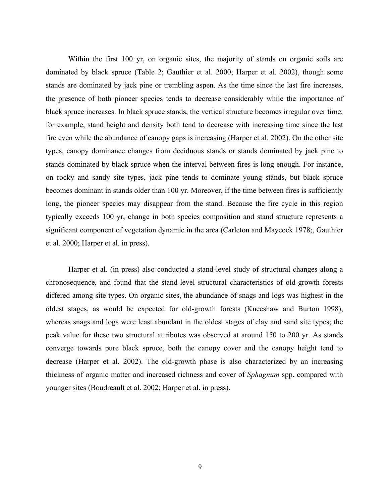Within the first 100 yr, on organic sites, the majority of stands on organic soils are dominated by black spruce (Table 2; Gauthier et al. 2000; Harper et al. 2002), though some stands are dominated by jack pine or trembling aspen. As the time since the last fire increases, the presence of both pioneer species tends to decrease considerably while the importance of black spruce increases. In black spruce stands, the vertical structure becomes irregular over time; for example, stand height and density both tend to decrease with increasing time since the last fire even while the abundance of canopy gaps is increasing (Harper et al. 2002). On the other site types, canopy dominance changes from deciduous stands or stands dominated by jack pine to stands dominated by black spruce when the interval between fires is long enough. For instance, on rocky and sandy site types, jack pine tends to dominate young stands, but black spruce becomes dominant in stands older than 100 yr. Moreover, if the time between fires is sufficiently long, the pioneer species may disappear from the stand. Because the fire cycle in this region typically exceeds 100 yr, change in both species composition and stand structure represents a significant component of vegetation dynamic in the area (Carleton and Maycock 1978;, Gauthier et al. 2000; Harper et al. in press).

Harper et al. (in press) also conducted a stand-level study of structural changes along a chronosequence, and found that the stand-level structural characteristics of old-growth forests differed among site types. On organic sites, the abundance of snags and logs was highest in the oldest stages, as would be expected for old-growth forests (Kneeshaw and Burton 1998), whereas snags and logs were least abundant in the oldest stages of clay and sand site types; the peak value for these two structural attributes was observed at around 150 to 200 yr. As stands converge towards pure black spruce, both the canopy cover and the canopy height tend to decrease (Harper et al. 2002). The old-growth phase is also characterized by an increasing thickness of organic matter and increased richness and cover of *Sphagnum* spp. compared with younger sites (Boudreault et al. 2002; Harper et al. in press).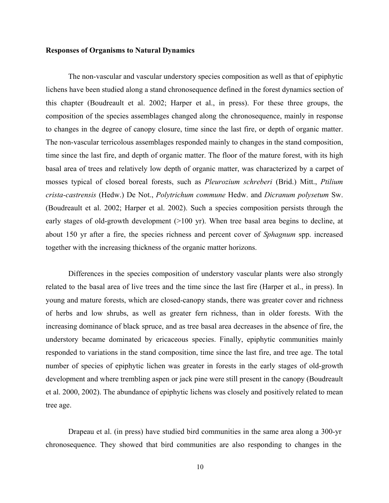#### **Responses of Organisms to Natural Dynamics**

The non-vascular and vascular understory species composition as well as that of epiphytic lichens have been studied along a stand chronosequence defined in the forest dynamics section of this chapter (Boudreault et al. 2002; Harper et al., in press). For these three groups, the composition of the species assemblages changed along the chronosequence, mainly in response to changes in the degree of canopy closure, time since the last fire, or depth of organic matter. The non-vascular terricolous assemblages responded mainly to changes in the stand composition, time since the last fire, and depth of organic matter. The floor of the mature forest, with its high basal area of trees and relatively low depth of organic matter, was characterized by a carpet of mosses typical of closed boreal forests, such as *Pleurozium schreberi* (Brid.) Mitt., *Ptilium crista-castrensis* (Hedw.) De Not., *Polytrichum commune* Hedw. and *Dicranum polysetum* Sw. (Boudreault et al. 2002; Harper et al. 2002). Such a species composition persists through the early stages of old-growth development  $(>100 \text{ yr})$ . When tree basal area begins to decline, at about 150 yr after a fire, the species richness and percent cover of *Sphagnum* spp. increased together with the increasing thickness of the organic matter horizons.

Differences in the species composition of understory vascular plants were also strongly related to the basal area of live trees and the time since the last fire (Harper et al., in press). In young and mature forests, which are closed-canopy stands, there was greater cover and richness of herbs and low shrubs, as well as greater fern richness, than in older forests. With the increasing dominance of black spruce, and as tree basal area decreases in the absence of fire, the understory became dominated by ericaceous species. Finally, epiphytic communities mainly responded to variations in the stand composition, time since the last fire, and tree age. The total number of species of epiphytic lichen was greater in forests in the early stages of old-growth development and where trembling aspen or jack pine were still present in the canopy (Boudreault et al. 2000, 2002). The abundance of epiphytic lichens was closely and positively related to mean tree age.

Drapeau et al. (in press) have studied bird communities in the same area along a 300-yr chronosequence. They showed that bird communities are also responding to changes in the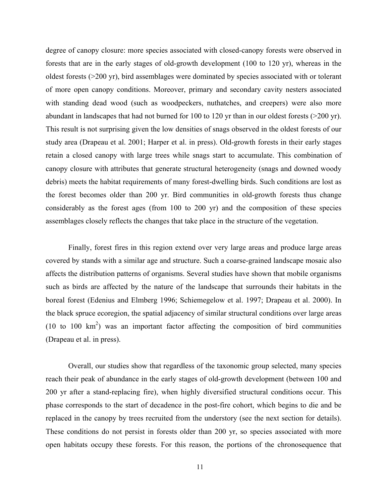degree of canopy closure: more species associated with closed-canopy forests were observed in forests that are in the early stages of old-growth development (100 to 120 yr), whereas in the oldest forests (>200 yr), bird assemblages were dominated by species associated with or tolerant of more open canopy conditions. Moreover, primary and secondary cavity nesters associated with standing dead wood (such as woodpeckers, nuthatches, and creepers) were also more abundant in landscapes that had not burned for 100 to 120 yr than in our oldest forests (>200 yr). This result is not surprising given the low densities of snags observed in the oldest forests of our study area (Drapeau et al. 2001; Harper et al. in press). Old-growth forests in their early stages retain a closed canopy with large trees while snags start to accumulate. This combination of canopy closure with attributes that generate structural heterogeneity (snags and downed woody debris) meets the habitat requirements of many forest-dwelling birds. Such conditions are lost as the forest becomes older than 200 yr. Bird communities in old-growth forests thus change considerably as the forest ages (from 100 to 200 yr) and the composition of these species assemblages closely reflects the changes that take place in the structure of the vegetation.

Finally, forest fires in this region extend over very large areas and produce large areas covered by stands with a similar age and structure. Such a coarse-grained landscape mosaic also affects the distribution patterns of organisms. Several studies have shown that mobile organisms such as birds are affected by the nature of the landscape that surrounds their habitats in the boreal forest (Edenius and Elmberg 1996; Schiemegelow et al. 1997; Drapeau et al. 2000). In the black spruce ecoregion, the spatial adjacency of similar structural conditions over large areas (10 to 100  $\text{km}^2$ ) was an important factor affecting the composition of bird communities (Drapeau et al. in press).

Overall, our studies show that regardless of the taxonomic group selected, many species reach their peak of abundance in the early stages of old-growth development (between 100 and 200 yr after a stand-replacing fire), when highly diversified structural conditions occur. This phase corresponds to the start of decadence in the post-fire cohort, which begins to die and be replaced in the canopy by trees recruited from the understory (see the next section for details). These conditions do not persist in forests older than 200 yr, so species associated with more open habitats occupy these forests. For this reason, the portions of the chronosequence that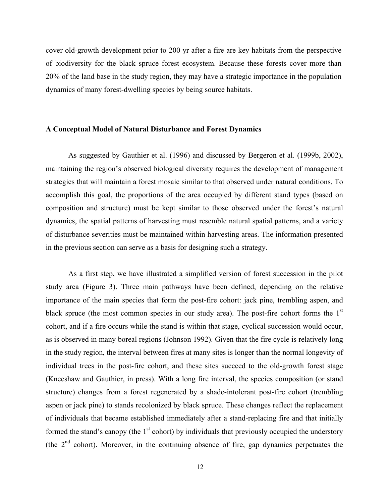cover old-growth development prior to 200 yr after a fire are key habitats from the perspective of biodiversity for the black spruce forest ecosystem. Because these forests cover more than 20% of the land base in the study region, they may have a strategic importance in the population dynamics of many forest-dwelling species by being source habitats.

#### **A Conceptual Model of Natural Disturbance and Forest Dynamics**

As suggested by Gauthier et al. (1996) and discussed by Bergeron et al. (1999b, 2002), maintaining the region's observed biological diversity requires the development of management strategies that will maintain a forest mosaic similar to that observed under natural conditions. To accomplish this goal, the proportions of the area occupied by different stand types (based on composition and structure) must be kept similar to those observed under the forest's natural dynamics, the spatial patterns of harvesting must resemble natural spatial patterns, and a variety of disturbance severities must be maintained within harvesting areas. The information presented in the previous section can serve as a basis for designing such a strategy.

As a first step, we have illustrated a simplified version of forest succession in the pilot study area (Figure 3). Three main pathways have been defined, depending on the relative importance of the main species that form the post-fire cohort: jack pine, trembling aspen, and black spruce (the most common species in our study area). The post-fire cohort forms the 1<sup>st</sup> cohort, and if a fire occurs while the stand is within that stage, cyclical succession would occur, as is observed in many boreal regions (Johnson 1992). Given that the fire cycle is relatively long in the study region, the interval between fires at many sites is longer than the normal longevity of individual trees in the post-fire cohort, and these sites succeed to the old-growth forest stage (Kneeshaw and Gauthier, in press). With a long fire interval, the species composition (or stand structure) changes from a forest regenerated by a shade-intolerant post-fire cohort (trembling aspen or jack pine) to stands recolonized by black spruce. These changes reflect the replacement of individuals that became established immediately after a stand-replacing fire and that initially formed the stand's canopy (the  $1<sup>st</sup>$  cohort) by individuals that previously occupied the understory (the  $2<sup>nd</sup>$  cohort). Moreover, in the continuing absence of fire, gap dynamics perpetuates the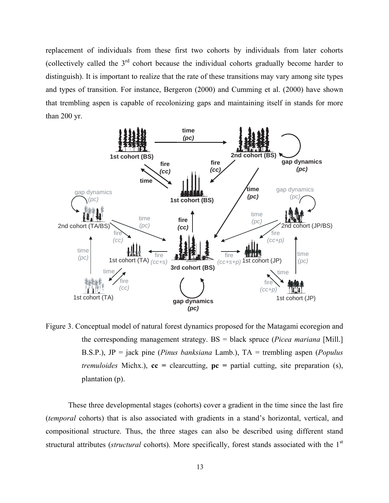replacement of individuals from these first two cohorts by individuals from later cohorts (collectively called the  $3<sup>rd</sup>$  cohort because the individual cohorts gradually become harder to distinguish). It is important to realize that the rate of these transitions may vary among site types and types of transition. For instance, Bergeron (2000) and Cumming et al. (2000) have shown that trembling aspen is capable of recolonizing gaps and maintaining itself in stands for more than 200 yr.



Figure 3. Conceptual model of natural forest dynamics proposed for the Matagami ecoregion and the corresponding management strategy. BS = black spruce (*Picea mariana* [Mill.] B.S.P.), JP = jack pine (*Pinus banksiana* Lamb.), TA = trembling aspen (*Populus tremuloides* Michx.),  $cc =$  clearcutting,  $pc =$  partial cutting, site preparation (s), plantation (p).

These three developmental stages (cohorts) cover a gradient in the time since the last fire (*temporal* cohorts) that is also associated with gradients in a stand's horizontal, vertical, and compositional structure. Thus, the three stages can also be described using different stand structural attributes (*structural* cohorts). More specifically, forest stands associated with the 1st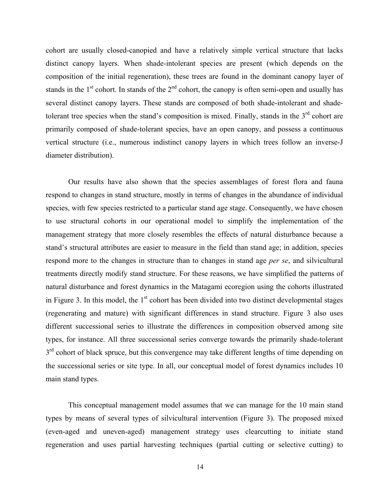cohort are usually closed-canopied and have a relatively simple vertical structure that lacks distinct canopy layers. When shade-intolerant species are present (which depends on the composition of the initial regeneration), these trees are found in the dominant canopy layer of stands in the  $1<sup>st</sup>$  cohort. In stands of the  $2<sup>nd</sup>$  cohort, the canopy is often semi-open and usually has several distinct canopy layers. These stands are composed of both shade-intolerant and shadetolerant tree species when the stand's composition is mixed. Finally, stands in the  $3<sup>rd</sup>$  cohort are primarily composed of shade-tolerant species, have an open canopy, and possess a continuous vertical structure (i.e., numerous indistinct canopy layers in which trees follow an inverse-J diameter distribution).

Our results have also shown that the species assemblages of forest flora and fauna respond to changes in stand structure, mostly in terms of changes in the abundance of individual species, with few species restricted to a particular stand age stage. Consequently, we have chosen to use structural cohorts in our operational model to simplify the implementation of the management strategy that more closely resembles the effects of natural disturbance because a stand's structural attributes are easier to measure in the field than stand age; in addition, species respond more to the changes in structure than to changes in stand age *per se*, and silvicultural treatments directly modify stand structure. For these reasons, we have simplified the patterns of natural disturbance and forest dynamics in the Matagami ecoregion using the cohorts illustrated in Figure 3. In this model, the  $1<sup>st</sup>$  cohort has been divided into two distinct developmental stages (regenerating and mature) with significant differences in stand structure. Figure 3 also uses different successional series to illustrate the differences in composition observed among site types, for instance. All three successional series converge towards the primarily shade-tolerant  $3<sup>rd</sup>$  cohort of black spruce, but this convergence may take different lengths of time depending on the successional series or site type. In all, our conceptual model of forest dynamics includes 10 main stand types.

This conceptual management model assumes that we can manage for the 10 main stand types by means of several types of silvicultural intervention (Figure 3). The proposed mixed (even-aged and uneven-aged) management strategy uses clearcutting to initiate stand regeneration and uses partial harvesting techniques (partial cutting or selective cutting) to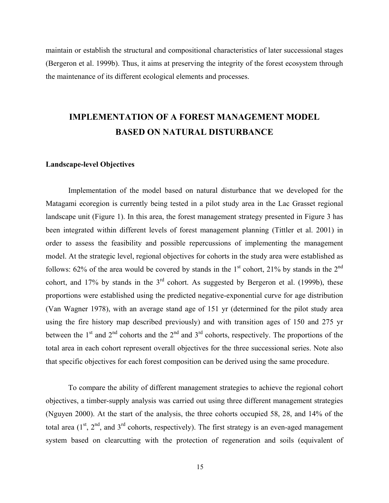maintain or establish the structural and compositional characteristics of later successional stages (Bergeron et al. 1999b). Thus, it aims at preserving the integrity of the forest ecosystem through the maintenance of its different ecological elements and processes.

### **IMPLEMENTATION OF A FOREST MANAGEMENT MODEL BASED ON NATURAL DISTURBANCE**

#### **Landscape-level Objectives**

Implementation of the model based on natural disturbance that we developed for the Matagami ecoregion is currently being tested in a pilot study area in the Lac Grasset regional landscape unit (Figure 1). In this area, the forest management strategy presented in Figure 3 has been integrated within different levels of forest management planning (Tittler et al. 2001) in order to assess the feasibility and possible repercussions of implementing the management model. At the strategic level, regional objectives for cohorts in the study area were established as follows: 62% of the area would be covered by stands in the  $1<sup>st</sup>$  cohort, 21% by stands in the  $2<sup>nd</sup>$ cohort, and 17% by stands in the  $3<sup>rd</sup>$  cohort. As suggested by Bergeron et al. (1999b), these proportions were established using the predicted negative-exponential curve for age distribution (Van Wagner 1978), with an average stand age of 151 yr (determined for the pilot study area using the fire history map described previously) and with transition ages of 150 and 275 yr between the  $1<sup>st</sup>$  and  $2<sup>nd</sup>$  cohorts and the  $2<sup>nd</sup>$  and  $3<sup>rd</sup>$  cohorts, respectively. The proportions of the total area in each cohort represent overall objectives for the three successional series. Note also that specific objectives for each forest composition can be derived using the same procedure.

To compare the ability of different management strategies to achieve the regional cohort objectives, a timber-supply analysis was carried out using three different management strategies (Nguyen 2000). At the start of the analysis, the three cohorts occupied 58, 28, and 14% of the total area  $(1^{st}, 2^{nd},$  and  $3^{rd}$  cohorts, respectively). The first strategy is an even-aged management system based on clearcutting with the protection of regeneration and soils (equivalent of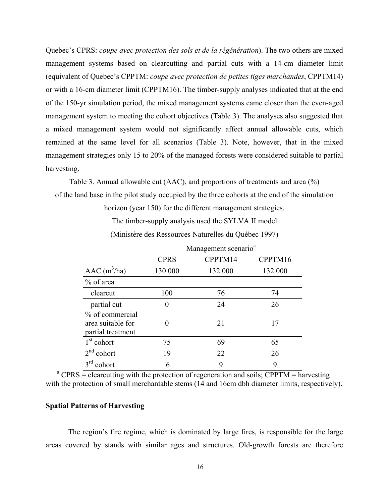Quebec's CPRS: *coupe avec protection des sols et de la régénération*). The two others are mixed management systems based on clearcutting and partial cuts with a 14-cm diameter limit (equivalent of Quebec's CPPTM: *coupe avec protection de petites tiges marchandes*, CPPTM14) or with a 16-cm diameter limit (CPPTM16). The timber-supply analyses indicated that at the end of the 150-yr simulation period, the mixed management systems came closer than the even-aged management system to meeting the cohort objectives (Table 3). The analyses also suggested that a mixed management system would not significantly affect annual allowable cuts, which remained at the same level for all scenarios (Table 3). Note, however, that in the mixed management strategies only 15 to 20% of the managed forests were considered suitable to partial harvesting.

Table 3. Annual allowable cut (AAC), and proportions of treatments and area (%) of the land base in the pilot study occupied by the three cohorts at the end of the simulation

horizon (year 150) for the different management strategies.

The timber-supply analysis used the SYLVA II model

|                                                           |             | Management scenario <sup>a</sup> |         |
|-----------------------------------------------------------|-------------|----------------------------------|---------|
|                                                           | <b>CPRS</b> | CPPTM14                          | CPPTM16 |
| $\text{AAC}$ (m <sup>3</sup> /ha)                         | 130 000     | 132 000                          | 132 000 |
| % of area                                                 |             |                                  |         |
| clearcut                                                  | 100         | 76                               | 74      |
| partial cut                                               | 0           | 24                               | 26      |
| % of commercial<br>area suitable for<br>partial treatment | 0           | 21                               | 17      |
| $1st$ cohort                                              | 75          | 69                               | 65      |
| $2nd$ cohort                                              | 19          | 22                               | 26      |
| $3^{\text{rd}}$<br>cohort                                 | 6           | 9                                | 9       |

(Ministère des Ressources Naturelles du Québec 1997)

with the protection of small merchantable stems (14 and 16cm dbh diameter limits, respectively).

#### **Spatial Patterns of Harvesting**

The region's fire regime, which is dominated by large fires, is responsible for the large areas covered by stands with similar ages and structures. Old-growth forests are therefore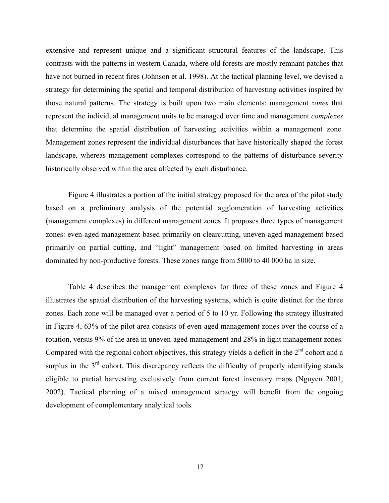extensive and represent unique and a significant structural features of the landscape. This contrasts with the patterns in western Canada, where old forests are mostly remnant patches that have not burned in recent fires (Johnson et al. 1998). At the tactical planning level, we devised a strategy for determining the spatial and temporal distribution of harvesting activities inspired by those natural patterns. The strategy is built upon two main elements: management *zones* that represent the individual management units to be managed over time and management *complexes* that determine the spatial distribution of harvesting activities within a management zone. Management zones represent the individual disturbances that have historically shaped the forest landscape, whereas management complexes correspond to the patterns of disturbance severity historically observed within the area affected by each disturbance.

Figure 4 illustrates a portion of the initial strategy proposed for the area of the pilot study based on a preliminary analysis of the potential agglomeration of harvesting activities (management complexes) in different management zones. It proposes three types of management zones: even-aged management based primarily on clearcutting, uneven-aged management based primarily on partial cutting, and "light" management based on limited harvesting in areas dominated by non-productive forests. These zones range from 5000 to 40 000 ha in size.

Table 4 describes the management complexes for three of these zones and Figure 4 illustrates the spatial distribution of the harvesting systems, which is quite distinct for the three zones. Each zone will be managed over a period of 5 to 10 yr. Following the strategy illustrated in Figure 4, 63% of the pilot area consists of even-aged management zones over the course of a rotation, versus 9% of the area in uneven-aged management and 28% in light management zones. Compared with the regional cohort objectives, this strategy yields a deficit in the  $2<sup>nd</sup>$  cohort and a surplus in the  $3<sup>rd</sup>$  cohort. This discrepancy reflects the difficulty of properly identifying stands eligible to partial harvesting exclusively from current forest inventory maps (Nguyen 2001, 2002). Tactical planning of a mixed management strategy will benefit from the ongoing development of complementary analytical tools.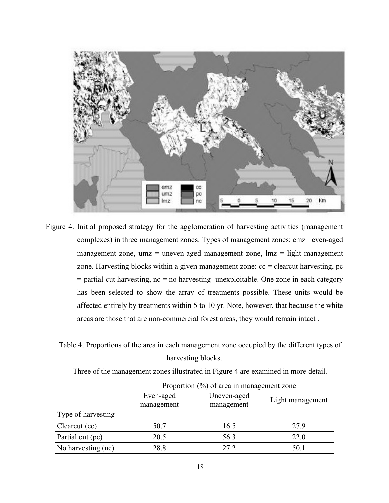

Figure 4. Initial proposed strategy for the agglomeration of harvesting activities (management complexes) in three management zones. Types of management zones: emz =even-aged management zone, umz = uneven-aged management zone,  $lmz = light management$ zone. Harvesting blocks within a given management zone:  $cc =$  clearcut harvesting, pc  $=$  partial-cut harvesting,  $nc = no$  harvesting -unexploitable. One zone in each category has been selected to show the array of treatments possible. These units would be affected entirely by treatments within 5 to 10 yr. Note, however, that because the white areas are those that are non-commercial forest areas, they would remain intact .

Table 4. Proportions of the area in each management zone occupied by the different types of harvesting blocks.

|  | Proportion $\left(\frac{0}{0}\right)$ of area in management zone |  |  |
|--|------------------------------------------------------------------|--|--|
|  |                                                                  |  |  |

Three of the management zones illustrated in Figure 4 are examined in more detail.

|                    | Even-aged<br>management | Uneven-aged<br>management | Light management |
|--------------------|-------------------------|---------------------------|------------------|
| Type of harvesting |                         |                           |                  |
| Clearcut (cc)      | 50.7                    | 16.5                      | 279              |
| Partial cut (pc)   | 20.5                    | 56.3                      | 22.0             |
| No harvesting (nc) | 28.8                    | 27.2                      | 50.1             |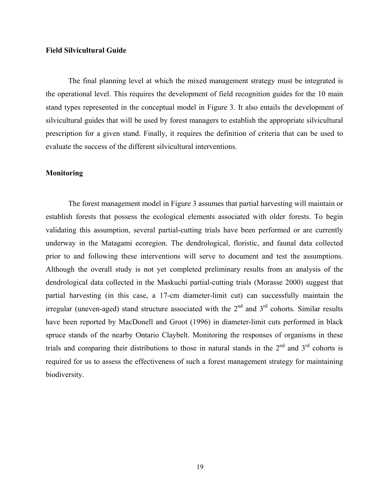#### **Field Silvicultural Guide**

The final planning level at which the mixed management strategy must be integrated is the operational level. This requires the development of field recognition guides for the 10 main stand types represented in the conceptual model in Figure 3. It also entails the development of silvicultural guides that will be used by forest managers to establish the appropriate silvicultural prescription for a given stand. Finally, it requires the definition of criteria that can be used to evaluate the success of the different silvicultural interventions.

#### **Monitoring**

The forest management model in Figure 3 assumes that partial harvesting will maintain or establish forests that possess the ecological elements associated with older forests. To begin validating this assumption, several partial-cutting trials have been performed or are currently underway in the Matagami ecoregion. The dendrological, floristic, and faunal data collected prior to and following these interventions will serve to document and test the assumptions. Although the overall study is not yet completed preliminary results from an analysis of the dendrological data collected in the Maskuchi partial-cutting trials (Morasse 2000) suggest that partial harvesting (in this case, a 17-cm diameter-limit cut) can successfully maintain the irregular (uneven-aged) stand structure associated with the  $2<sup>nd</sup>$  and  $3<sup>rd</sup>$  cohorts. Similar results have been reported by MacDonell and Groot (1996) in diameter-limit cuts performed in black spruce stands of the nearby Ontario Claybelt. Monitoring the responses of organisms in these trials and comparing their distributions to those in natural stands in the  $2<sup>nd</sup>$  and  $3<sup>rd</sup>$  cohorts is required for us to assess the effectiveness of such a forest management strategy for maintaining biodiversity.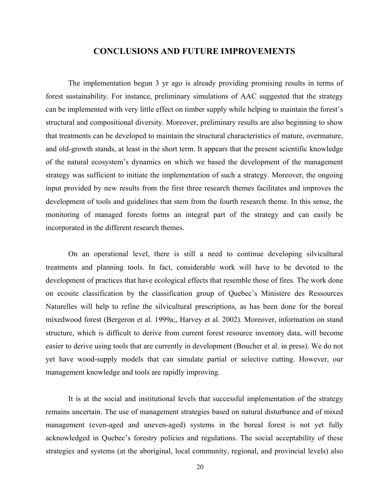#### **CONCLUSIONS AND FUTURE IMPROVEMENTS**

The implementation begun 3 yr ago is already providing promising results in terms of forest sustainability. For instance, preliminary simulations of AAC suggested that the strategy can be implemented with very little effect on timber supply while helping to maintain the forest's structural and compositional diversity. Moreover, preliminary results are also beginning to show that treatments can be developed to maintain the structural characteristics of mature, overmature, and old-growth stands, at least in the short term. It appears that the present scientific knowledge of the natural ecosystem's dynamics on which we based the development of the management strategy was sufficient to initiate the implementation of such a strategy. Moreover, the ongoing input provided by new results from the first three research themes facilitates and improves the development of tools and guidelines that stem from the fourth research theme. In this sense, the monitoring of managed forests forms an integral part of the strategy and can easily be incorporated in the different research themes.

On an operational level, there is still a need to continue developing silvicultural treatments and planning tools. In fact, considerable work will have to be devoted to the development of practices that have ecological effects that resemble those of fires. The work done on ecosite classification by the classification group of Quebec's Ministère des Ressources Naturelles will help to refine the silvicultural prescriptions, as has been done for the boreal mixedwood forest (Bergeron et al. 1999a;, Harvey et al. 2002). Moreover, information on stand structure, which is difficult to derive from current forest resource inventory data, will become easier to derive using tools that are currently in development (Boucher et al. in press). We do not yet have wood-supply models that can simulate partial or selective cutting. However, our management knowledge and tools are rapidly improving.

It is at the social and institutional levels that successful implementation of the strategy remains uncertain. The use of management strategies based on natural disturbance and of mixed management (even-aged and uneven-aged) systems in the boreal forest is not yet fully acknowledged in Quebec's forestry policies and regulations. The social acceptability of these strategies and systems (at the aboriginal, local community, regional, and provincial levels) also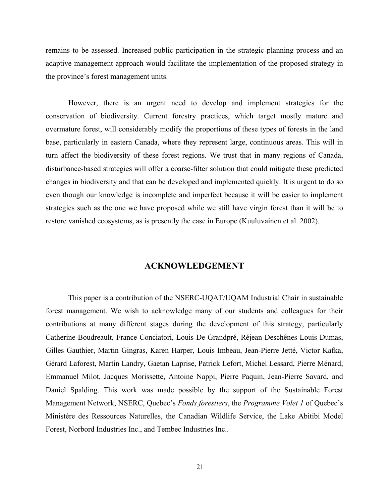remains to be assessed. Increased public participation in the strategic planning process and an adaptive management approach would facilitate the implementation of the proposed strategy in the province's forest management units.

However, there is an urgent need to develop and implement strategies for the conservation of biodiversity. Current forestry practices, which target mostly mature and overmature forest, will considerably modify the proportions of these types of forests in the land base, particularly in eastern Canada, where they represent large, continuous areas. This will in turn affect the biodiversity of these forest regions. We trust that in many regions of Canada, disturbance-based strategies will offer a coarse-filter solution that could mitigate these predicted changes in biodiversity and that can be developed and implemented quickly. It is urgent to do so even though our knowledge is incomplete and imperfect because it will be easier to implement strategies such as the one we have proposed while we still have virgin forest than it will be to restore vanished ecosystems, as is presently the case in Europe (Kuuluvainen et al. 2002).

#### **ACKNOWLEDGEMENT**

This paper is a contribution of the NSERC-UQAT/UQAM Industrial Chair in sustainable forest management. We wish to acknowledge many of our students and colleagues for their contributions at many different stages during the development of this strategy, particularly Catherine Boudreault, France Conciatori, Louis De Grandpré, Réjean Deschênes Louis Dumas, Gilles Gauthier, Martin Gingras, Karen Harper, Louis Imbeau, Jean-Pierre Jetté, Victor Kafka, Gérard Laforest, Martin Landry, Gaetan Laprise, Patrick Lefort, Michel Lessard, Pierre Ménard, Emmanuel Milot, Jacques Morissette, Antoine Nappi, Pierre Paquin, Jean-Pierre Savard, and Daniel Spalding. This work was made possible by the support of the Sustainable Forest Management Network, NSERC, Quebec's *Fonds forestiers*, the *Programme Volet 1* of Quebec's Ministère des Ressources Naturelles, the Canadian Wildlife Service, the Lake Abitibi Model Forest, Norbord Industries Inc., and Tembec Industries Inc..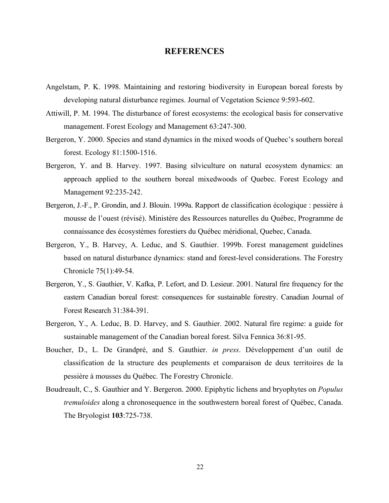#### **REFERENCES**

- Angelstam, P. K. 1998. Maintaining and restoring biodiversity in European boreal forests by developing natural disturbance regimes. Journal of Vegetation Science 9:593-602.
- Attiwill, P. M. 1994. The disturbance of forest ecosystems: the ecological basis for conservative management. Forest Ecology and Management 63:247-300.
- Bergeron, Y. 2000. Species and stand dynamics in the mixed woods of Quebec's southern boreal forest. Ecology 81:1500-1516.
- Bergeron, Y. and B. Harvey. 1997. Basing silviculture on natural ecosystem dynamics: an approach applied to the southern boreal mixedwoods of Quebec. Forest Ecology and Management 92:235-242.
- Bergeron, J.-F., P. Grondin, and J. Blouin. 1999a. Rapport de classification écologique : pessière à mousse de l'ouest (révisé). Ministère des Ressources naturelles du Québec, Programme de connaissance des écosystèmes forestiers du Québec méridional, Quebec, Canada.
- Bergeron, Y., B. Harvey, A. Leduc, and S. Gauthier. 1999b. Forest management guidelines based on natural disturbance dynamics: stand and forest-level considerations. The Forestry Chronicle 75(1):49-54.
- Bergeron, Y., S. Gauthier, V. Kafka, P. Lefort, and D. Lesieur. 2001. Natural fire frequency for the eastern Canadian boreal forest: consequences for sustainable forestry. Canadian Journal of Forest Research 31:384-391.
- Bergeron, Y., A. Leduc, B. D. Harvey, and S. Gauthier. 2002. Natural fire regime: a guide for sustainable management of the Canadian boreal forest. Silva Fennica 36:81-95.
- Boucher, D., L. De Grandpré, and S. Gauthier. *in press*. Développement d'un outil de classification de la structure des peuplements et comparaison de deux territoires de la pessière à mousses du Québec. The Forestry Chronicle.
- Boudreault, C., S. Gauthier and Y. Bergeron. 2000. Epiphytic lichens and bryophytes on *Populus tremuloides* along a chronosequence in the southwestern boreal forest of Québec, Canada. The Bryologist **103**:725-738.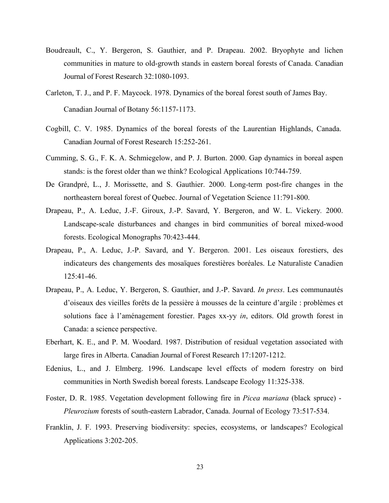- Boudreault, C., Y. Bergeron, S. Gauthier, and P. Drapeau. 2002. Bryophyte and lichen communities in mature to old-growth stands in eastern boreal forests of Canada. Canadian Journal of Forest Research 32:1080-1093.
- Carleton, T. J., and P. F. Maycock. 1978. Dynamics of the boreal forest south of James Bay. Canadian Journal of Botany 56:1157-1173.
- Cogbill, C. V. 1985. Dynamics of the boreal forests of the Laurentian Highlands, Canada. Canadian Journal of Forest Research 15:252-261.
- Cumming, S. G., F. K. A. Schmiegelow, and P. J. Burton. 2000. Gap dynamics in boreal aspen stands: is the forest older than we think? Ecological Applications 10:744-759.
- De Grandpré, L., J. Morissette, and S. Gauthier. 2000. Long-term post-fire changes in the northeastern boreal forest of Quebec. Journal of Vegetation Science 11:791-800.
- Drapeau, P., A. Leduc, J.-F. Giroux, J.-P. Savard, Y. Bergeron, and W. L. Vickery*.* 2000. Landscape-scale disturbances and changes in bird communities of boreal mixed-wood forests. Ecological Monographs 70:423-444.
- Drapeau, P., A. Leduc, J.-P. Savard, and Y. Bergeron. 2001. Les oiseaux forestiers, des indicateurs des changements des mosaïques forestières boréales. Le Naturaliste Canadien 125:41-46.
- Drapeau, P., A. Leduc, Y. Bergeron, S. Gauthier, and J.-P. Savard. *In press*. Les communautés d'oiseaux des vieilles forêts de la pessière à mousses de la ceinture d'argile : problèmes et solutions face à l'aménagement forestier. Pages xx-yy *in*, editors. Old growth forest in Canada: a science perspective.
- Eberhart, K. E., and P. M. Woodard. 1987. Distribution of residual vegetation associated with large fires in Alberta. Canadian Journal of Forest Research 17:1207-1212.
- Edenius, L., and J. Elmberg. 1996. Landscape level effects of modern forestry on bird communities in North Swedish boreal forests. Landscape Ecology 11:325-338.
- Foster, D. R. 1985. Vegetation development following fire in *Picea mariana* (black spruce) *Pleurozium* forests of south-eastern Labrador, Canada. Journal of Ecology 73:517-534.
- Franklin, J. F. 1993. Preserving biodiversity: species, ecosystems, or landscapes? Ecological Applications 3:202-205.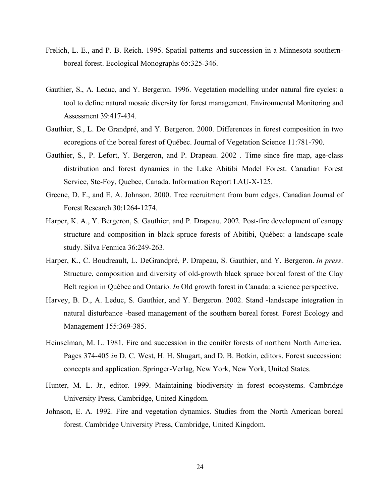- Frelich, L. E., and P. B. Reich. 1995. Spatial patterns and succession in a Minnesota southernboreal forest. Ecological Monographs 65:325-346.
- Gauthier, S., A. Leduc, and Y. Bergeron. 1996. Vegetation modelling under natural fire cycles: a tool to define natural mosaic diversity for forest management. Environmental Monitoring and Assessment 39:417-434.
- Gauthier, S., L. De Grandpré, and Y. Bergeron. 2000. Differences in forest composition in two ecoregions of the boreal forest of Québec. Journal of Vegetation Science 11:781-790.
- Gauthier, S., P. Lefort, Y. Bergeron, and P. Drapeau. 2002 . Time since fire map, age-class distribution and forest dynamics in the Lake Abitibi Model Forest. Canadian Forest Service, Ste-Foy, Quebec, Canada. Information Report LAU-X-125.
- Greene, D. F., and E. A. Johnson. 2000. Tree recruitment from burn edges. Canadian Journal of Forest Research 30:1264-1274.
- Harper, K. A., Y. Bergeron, S. Gauthier, and P. Drapeau. 2002. Post-fire development of canopy structure and composition in black spruce forests of Abitibi, Québec: a landscape scale study. Silva Fennica 36:249-263.
- Harper, K., C. Boudreault, L. DeGrandpré, P. Drapeau, S. Gauthier, and Y. Bergeron. *In press*. Structure, composition and diversity of old-growth black spruce boreal forest of the Clay Belt region in Québec and Ontario. *In* Old growth forest in Canada: a science perspective.
- Harvey, B. D., A. Leduc, S. Gauthier, and Y. Bergeron. 2002. Stand -landscape integration in natural disturbance -based management of the southern boreal forest. Forest Ecology and Management 155:369-385.
- Heinselman, M. L. 1981. Fire and succession in the conifer forests of northern North America. Pages 374-405 *in* D. C. West, H. H. Shugart, and D. B. Botkin, editors. Forest succession: concepts and application. Springer-Verlag, New York, New York, United States.
- Hunter, M. L. Jr., editor. 1999. Maintaining biodiversity in forest ecosystems. Cambridge University Press, Cambridge, United Kingdom.
- Johnson, E. A. 1992. Fire and vegetation dynamics. Studies from the North American boreal forest. Cambridge University Press, Cambridge, United Kingdom.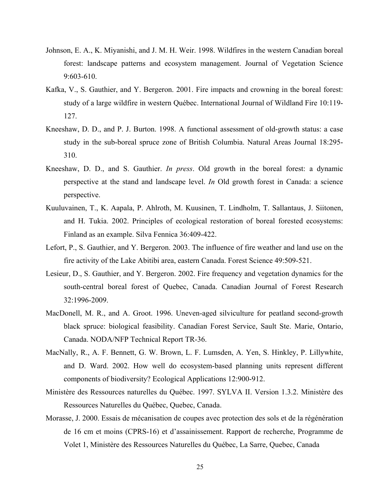- Johnson, E. A., K. Miyanishi, and J. M. H. Weir. 1998. Wildfires in the western Canadian boreal forest: landscape patterns and ecosystem management. Journal of Vegetation Science 9:603-610.
- Kafka, V., S. Gauthier, and Y. Bergeron. 2001. Fire impacts and crowning in the boreal forest: study of a large wildfire in western Québec. International Journal of Wildland Fire 10:119- 127.
- Kneeshaw, D. D., and P. J. Burton. 1998. A functional assessment of old-growth status: a case study in the sub-boreal spruce zone of British Columbia. Natural Areas Journal 18:295- 310.
- Kneeshaw, D. D., and S. Gauthier. *In press*. Old growth in the boreal forest: a dynamic perspective at the stand and landscape level. *In* Old growth forest in Canada: a science perspective.
- Kuuluvainen, T., K. Aapala, P. Ahlroth, M. Kuusinen, T. Lindholm, T. Sallantaus, J. Siitonen, and H. Tukia. 2002. Principles of ecological restoration of boreal forested ecosystems: Finland as an example. Silva Fennica 36:409-422.
- Lefort, P., S. Gauthier, and Y. Bergeron. 2003. The influence of fire weather and land use on the fire activity of the Lake Abitibi area, eastern Canada. Forest Science 49:509-521.
- Lesieur, D., S. Gauthier, and Y. Bergeron. 2002. Fire frequency and vegetation dynamics for the south-central boreal forest of Quebec, Canada. Canadian Journal of Forest Research 32:1996-2009.
- MacDonell, M. R., and A. Groot. 1996. Uneven-aged silviculture for peatland second-growth black spruce: biological feasibility. Canadian Forest Service, Sault Ste. Marie, Ontario, Canada. NODA/NFP Technical Report TR-36.
- MacNally, R., A. F. Bennett, G. W. Brown, L. F. Lumsden, A. Yen, S. Hinkley, P. Lillywhite, and D. Ward. 2002. How well do ecosystem-based planning units represent different components of biodiversity? Ecological Applications 12:900-912.
- Ministère des Ressources naturelles du Québec. 1997. SYLVA II. Version 1.3.2. Ministère des Ressources Naturelles du Québec, Quebec, Canada.
- Morasse, J. 2000. Essais de mécanisation de coupes avec protection des sols et de la régénération de 16 cm et moins (CPRS-16) et d'assainissement. Rapport de recherche, Programme de Volet 1, Ministère des Ressources Naturelles du Québec, La Sarre, Quebec, Canada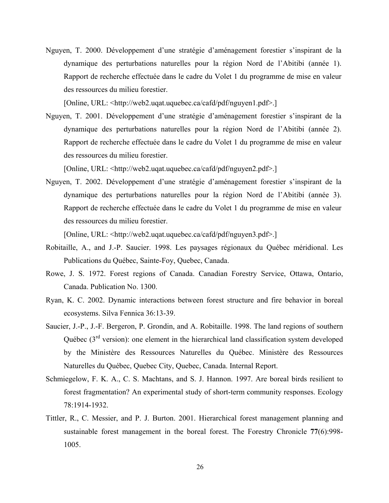Nguyen, T. 2000. Développement d'une stratégie d'aménagement forestier s'inspirant de la dynamique des perturbations naturelles pour la région Nord de l'Abitibi (année 1). Rapport de recherche effectuée dans le cadre du Volet 1 du programme de mise en valeur des ressources du milieu forestier.

[Online, URL: <http://web2.uqat.uquebec.ca/cafd/pdf/nguyen1.pdf>.]

Nguyen, T. 2001. Développement d'une stratégie d'aménagement forestier s'inspirant de la dynamique des perturbations naturelles pour la région Nord de l'Abitibi (année 2). Rapport de recherche effectuée dans le cadre du Volet 1 du programme de mise en valeur des ressources du milieu forestier.

[Online, URL: <http://web2.uqat.uquebec.ca/cafd/pdf/nguyen2.pdf>.]

Nguyen, T. 2002. Développement d'une stratégie d'aménagement forestier s'inspirant de la dynamique des perturbations naturelles pour la région Nord de l'Abitibi (année 3). Rapport de recherche effectuée dans le cadre du Volet 1 du programme de mise en valeur des ressources du milieu forestier.

[Online, URL: <http://web2.uqat.uquebec.ca/cafd/pdf/nguyen3.pdf>.]

- Robitaille, A., and J.-P. Saucier. 1998. Les paysages régionaux du Québec méridional. Les Publications du Québec, Sainte-Foy, Quebec, Canada.
- Rowe, J. S. 1972. Forest regions of Canada. Canadian Forestry Service, Ottawa, Ontario, Canada. Publication No. 1300.
- Ryan, K. C. 2002. Dynamic interactions between forest structure and fire behavior in boreal ecosystems. Silva Fennica 36:13-39.
- Saucier, J.-P., J.-F. Bergeron, P. Grondin, and A. Robitaille. 1998. The land regions of southern Québec  $(3<sup>rd</sup>$  version): one element in the hierarchical land classification system developed by the Ministère des Ressources Naturelles du Québec. Ministère des Ressources Naturelles du Québec, Quebec City, Quebec, Canada. Internal Report.
- Schmiegelow, F. K. A., C. S. Machtans, and S. J. Hannon. 1997. Are boreal birds resilient to forest fragmentation? An experimental study of short-term community responses. Ecology 78:1914-1932.
- Tittler, R., C. Messier, and P. J. Burton. 2001. Hierarchical forest management planning and sustainable forest management in the boreal forest. The Forestry Chronicle **77**(6):998- 1005.